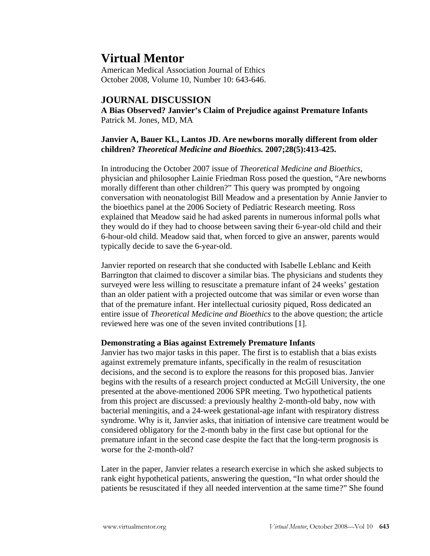# **Virtual Mentor**

American Medical Association Journal of Ethics October 2008, Volume 10, Number 10: 643-646.

## **JOURNAL DISCUSSION**

**A Bias Observed? Janvier's Claim of Prejudice against Premature Infants**  Patrick M. Jones, MD, MA

### **Janvier A, Bauer KL, Lantos JD. Are newborns morally different from older children?** *Theoretical Medicine and Bioethics.* **2007;28(5):413-425.**

In introducing the October 2007 issue of *Theoretical Medicine and Bioethics*, physician and philosopher Lainie Friedman Ross posed the question, "Are newborns morally different than other children?" This query was prompted by ongoing conversation with neonatologist Bill Meadow and a presentation by Annie Janvier to the bioethics panel at the 2006 Society of Pediatric Research meeting. Ross explained that Meadow said he had asked parents in numerous informal polls what they would do if they had to choose between saving their 6-year-old child and their 6-hour-old child. Meadow said that, when forced to give an answer, parents would typically decide to save the 6-year-old.

Janvier reported on research that she conducted with Isabelle Leblanc and Keith Barrington that claimed to discover a similar bias. The physicians and students they surveyed were less willing to resuscitate a premature infant of 24 weeks' gestation than an older patient with a projected outcome that was similar or even worse than that of the premature infant. Her intellectual curiosity piqued, Ross dedicated an entire issue of *Theoretical Medicine and Bioethics* to the above question; the article reviewed here was one of the seven invited contributions [1].

### **Demonstrating a Bias against Extremely Premature Infants**

Janvier has two major tasks in this paper. The first is to establish that a bias exists against extremely premature infants, specifically in the realm of resuscitation decisions, and the second is to explore the reasons for this proposed bias. Janvier begins with the results of a research project conducted at McGill University, the one presented at the above-mentioned 2006 SPR meeting. Two hypothetical patients from this project are discussed: a previously healthy 2-month-old baby, now with bacterial meningitis, and a 24-week gestational-age infant with respiratory distress syndrome. Why is it, Janvier asks, that initiation of intensive care treatment would be considered obligatory for the 2-month baby in the first case but optional for the premature infant in the second case despite the fact that the long-term prognosis is worse for the 2-month-old?

Later in the paper, Janvier relates a research exercise in which she asked subjects to rank eight hypothetical patients, answering the question, "In what order should the patients be resuscitated if they all needed intervention at the same time?" She found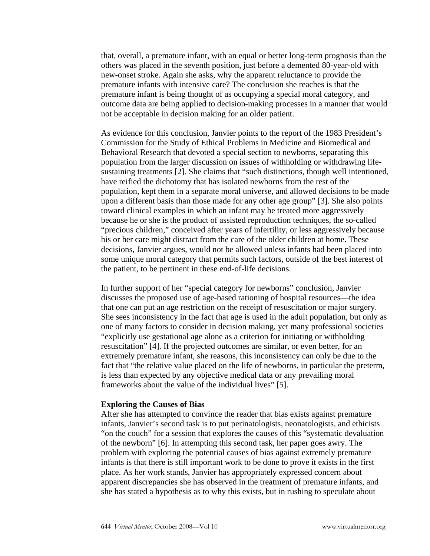that, overall, a premature infant, with an equal or better long-term prognosis than the others was placed in the seventh position, just before a demented 80-year-old with new-onset stroke. Again she asks, why the apparent reluctance to provide the premature infants with intensive care? The conclusion she reaches is that the premature infant is being thought of as occupying a special moral category, and outcome data are being applied to decision-making processes in a manner that would not be acceptable in decision making for an older patient.

As evidence for this conclusion, Janvier points to the report of the 1983 President's Commission for the Study of Ethical Problems in Medicine and Biomedical and Behavioral Research that devoted a special section to newborns, separating this population from the larger discussion on issues of withholding or withdrawing lifesustaining treatments [2]. She claims that "such distinctions, though well intentioned, have reified the dichotomy that has isolated newborns from the rest of the population, kept them in a separate moral universe, and allowed decisions to be made upon a different basis than those made for any other age group" [3]. She also points toward clinical examples in which an infant may be treated more aggressively because he or she is the product of assisted reproduction techniques, the so-called "precious children," conceived after years of infertility, or less aggressively because his or her care might distract from the care of the older children at home. These decisions, Janvier argues, would not be allowed unless infants had been placed into some unique moral category that permits such factors, outside of the best interest of the patient, to be pertinent in these end-of-life decisions.

In further support of her "special category for newborns" conclusion, Janvier discusses the proposed use of age-based rationing of hospital resources—the idea that one can put an age restriction on the receipt of resuscitation or major surgery. She sees inconsistency in the fact that age is used in the adult population, but only as one of many factors to consider in decision making, yet many professional societies "explicitly use gestational age alone as a criterion for initiating or withholding resuscitation" [4]. If the projected outcomes are similar, or even better, for an extremely premature infant, she reasons, this inconsistency can only be due to the fact that "the relative value placed on the life of newborns, in particular the preterm, is less than expected by any objective medical data or any prevailing moral frameworks about the value of the individual lives" [5].

#### **Exploring the Causes of Bias**

After she has attempted to convince the reader that bias exists against premature infants, Janvier's second task is to put perinatologists, neonatologists, and ethicists "on the couch" for a session that explores the causes of this "systematic devaluation of the newborn" [6]. In attempting this second task, her paper goes awry. The problem with exploring the potential causes of bias against extremely premature infants is that there is still important work to be done to prove it exists in the first place. As her work stands, Janvier has appropriately expressed concern about apparent discrepancies she has observed in the treatment of premature infants, and she has stated a hypothesis as to why this exists, but in rushing to speculate about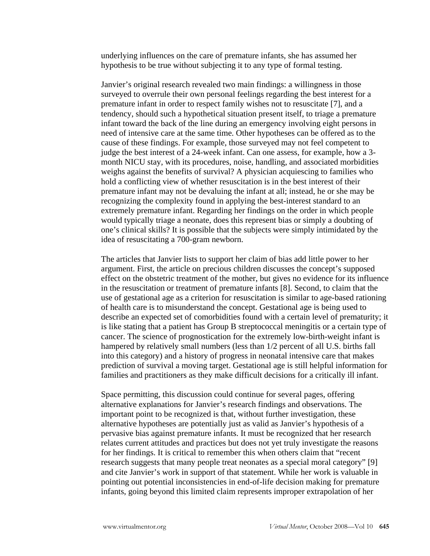underlying influences on the care of premature infants, she has assumed her hypothesis to be true without subjecting it to any type of formal testing.

Janvier's original research revealed two main findings: a willingness in those surveyed to overrule their own personal feelings regarding the best interest for a premature infant in order to respect family wishes not to resuscitate [7], and a tendency, should such a hypothetical situation present itself, to triage a premature infant toward the back of the line during an emergency involving eight persons in need of intensive care at the same time. Other hypotheses can be offered as to the cause of these findings. For example, those surveyed may not feel competent to judge the best interest of a 24-week infant. Can one assess, for example, how a 3 month NICU stay, with its procedures, noise, handling, and associated morbidities weighs against the benefits of survival? A physician acquiescing to families who hold a conflicting view of whether resuscitation is in the best interest of their premature infant may not be devaluing the infant at all; instead, he or she may be recognizing the complexity found in applying the best-interest standard to an extremely premature infant. Regarding her findings on the order in which people would typically triage a neonate, does this represent bias or simply a doubting of one's clinical skills? It is possible that the subjects were simply intimidated by the idea of resuscitating a 700-gram newborn.

The articles that Janvier lists to support her claim of bias add little power to her argument. First, the article on precious children discusses the concept's supposed effect on the obstetric treatment of the mother, but gives no evidence for its influence in the resuscitation or treatment of premature infants [8]. Second, to claim that the use of gestational age as a criterion for resuscitation is similar to age-based rationing of health care is to misunderstand the concept. Gestational age is being used to describe an expected set of comorbidities found with a certain level of prematurity; it is like stating that a patient has Group B streptococcal meningitis or a certain type of cancer. The science of prognostication for the extremely low-birth-weight infant is hampered by relatively small numbers (less than 1/2 percent of all U.S. births fall into this category) and a history of progress in neonatal intensive care that makes prediction of survival a moving target. Gestational age is still helpful information for families and practitioners as they make difficult decisions for a critically ill infant.

Space permitting, this discussion could continue for several pages, offering alternative explanations for Janvier's research findings and observations. The important point to be recognized is that, without further investigation, these alternative hypotheses are potentially just as valid as Janvier's hypothesis of a pervasive bias against premature infants. It must be recognized that her research relates current attitudes and practices but does not yet truly investigate the reasons for her findings. It is critical to remember this when others claim that "recent research suggests that many people treat neonates as a special moral category" [9] and cite Janvier's work in support of that statement. While her work is valuable in pointing out potential inconsistencies in end-of-life decision making for premature infants, going beyond this limited claim represents improper extrapolation of her